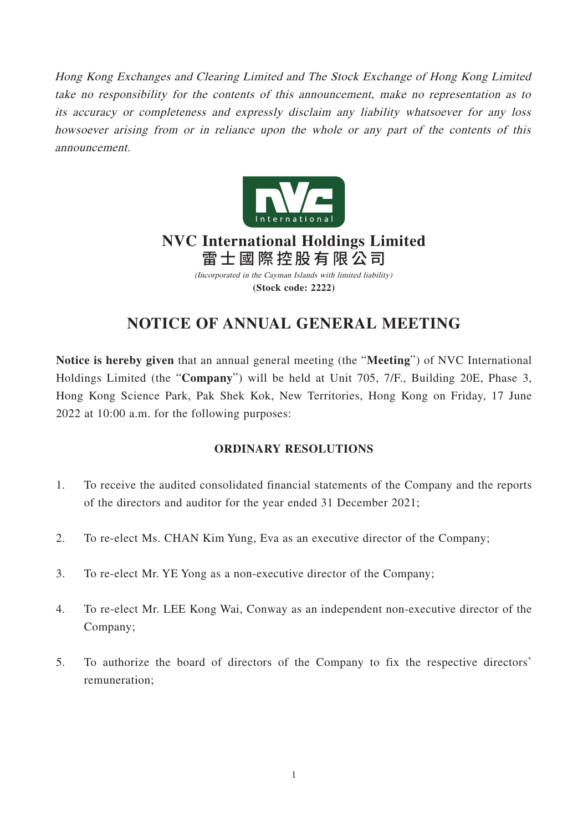Hong Kong Exchanges and Clearing Limited and The Stock Exchange of Hong Kong Limited take no responsibility for the contents of this announcement, make no representation as to its accuracy or completeness and expressly disclaim any liability whatsoever for any loss howsoever arising from or in reliance upon the whole or any part of the contents of this announcement.



## (Incorporated in the Cayman Islands with limited liability) **NVC International Holdings Limited** 雷士國際控股有限公司

**(Stock code: 2222)**

# **NOTICE OF ANNUAL GENERAL MEETING**

**Notice is hereby given** that an annual general meeting (the "**Meeting**") of NVC International Holdings Limited (the "**Company**") will be held at Unit 705, 7/F., Building 20E, Phase 3, Hong Kong Science Park, Pak Shek Kok, New Territories, Hong Kong on Friday, 17 June 2022 at 10:00 a.m. for the following purposes:

## **ORDINARY RESOLUTIONS**

- 1. To receive the audited consolidated financial statements of the Company and the reports of the directors and auditor for the year ended 31 December 2021;
- 2. To re-elect Ms. CHAN Kim Yung, Eva as an executive director of the Company;
- 3. To re-elect Mr. YE Yong as a non-executive director of the Company;
- 4. To re-elect Mr. LEE Kong Wai, Conway as an independent non-executive director of the Company;
- 5. To authorize the board of directors of the Company to fix the respective directors' remuneration;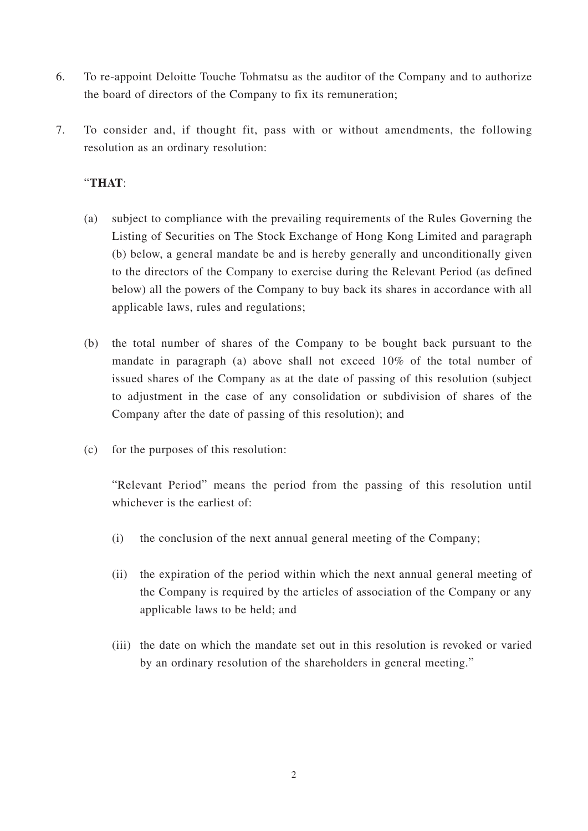- 6. To re-appoint Deloitte Touche Tohmatsu as the auditor of the Company and to authorize the board of directors of the Company to fix its remuneration;
- 7. To consider and, if thought fit, pass with or without amendments, the following resolution as an ordinary resolution:

### "**THAT**:

- (a) subject to compliance with the prevailing requirements of the Rules Governing the Listing of Securities on The Stock Exchange of Hong Kong Limited and paragraph (b) below, a general mandate be and is hereby generally and unconditionally given to the directors of the Company to exercise during the Relevant Period (as defined below) all the powers of the Company to buy back its shares in accordance with all applicable laws, rules and regulations;
- (b) the total number of shares of the Company to be bought back pursuant to the mandate in paragraph (a) above shall not exceed 10% of the total number of issued shares of the Company as at the date of passing of this resolution (subject to adjustment in the case of any consolidation or subdivision of shares of the Company after the date of passing of this resolution); and
- (c) for the purposes of this resolution:

"Relevant Period" means the period from the passing of this resolution until whichever is the earliest of:

- (i) the conclusion of the next annual general meeting of the Company;
- (ii) the expiration of the period within which the next annual general meeting of the Company is required by the articles of association of the Company or any applicable laws to be held; and
- (iii) the date on which the mandate set out in this resolution is revoked or varied by an ordinary resolution of the shareholders in general meeting."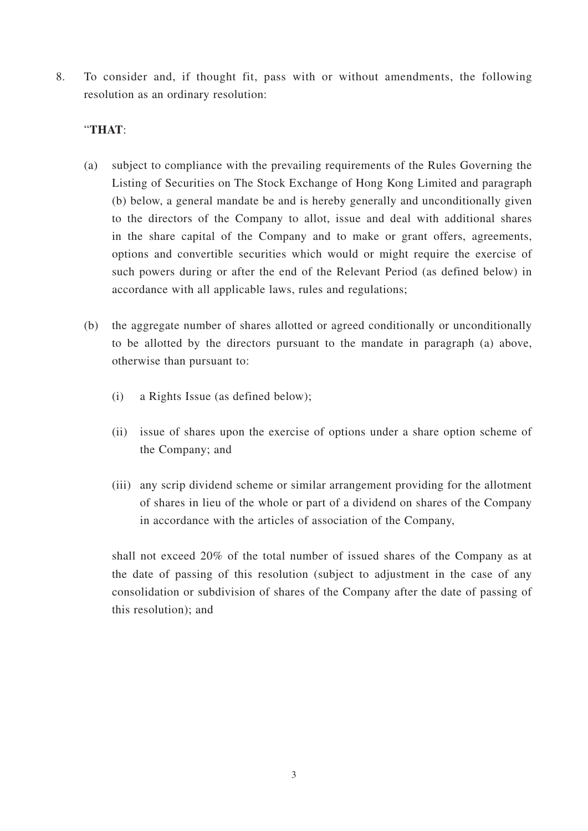8. To consider and, if thought fit, pass with or without amendments, the following resolution as an ordinary resolution:

#### "**THAT**:

- (a) subject to compliance with the prevailing requirements of the Rules Governing the Listing of Securities on The Stock Exchange of Hong Kong Limited and paragraph (b) below, a general mandate be and is hereby generally and unconditionally given to the directors of the Company to allot, issue and deal with additional shares in the share capital of the Company and to make or grant offers, agreements, options and convertible securities which would or might require the exercise of such powers during or after the end of the Relevant Period (as defined below) in accordance with all applicable laws, rules and regulations;
- (b) the aggregate number of shares allotted or agreed conditionally or unconditionally to be allotted by the directors pursuant to the mandate in paragraph (a) above, otherwise than pursuant to:
	- (i) a Rights Issue (as defined below);
	- (ii) issue of shares upon the exercise of options under a share option scheme of the Company; and
	- (iii) any scrip dividend scheme or similar arrangement providing for the allotment of shares in lieu of the whole or part of a dividend on shares of the Company in accordance with the articles of association of the Company,

shall not exceed 20% of the total number of issued shares of the Company as at the date of passing of this resolution (subject to adjustment in the case of any consolidation or subdivision of shares of the Company after the date of passing of this resolution); and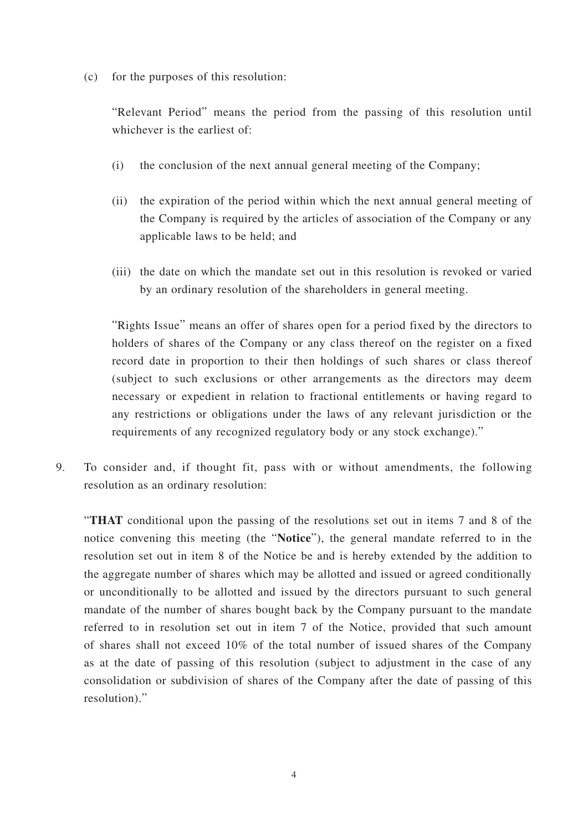(c) for the purposes of this resolution:

"Relevant Period" means the period from the passing of this resolution until whichever is the earliest of:

- (i) the conclusion of the next annual general meeting of the Company;
- (ii) the expiration of the period within which the next annual general meeting of the Company is required by the articles of association of the Company or any applicable laws to be held; and
- (iii) the date on which the mandate set out in this resolution is revoked or varied by an ordinary resolution of the shareholders in general meeting.

"Rights Issue" means an offer of shares open for a period fixed by the directors to holders of shares of the Company or any class thereof on the register on a fixed record date in proportion to their then holdings of such shares or class thereof (subject to such exclusions or other arrangements as the directors may deem necessary or expedient in relation to fractional entitlements or having regard to any restrictions or obligations under the laws of any relevant jurisdiction or the requirements of any recognized regulatory body or any stock exchange)."

9. To consider and, if thought fit, pass with or without amendments, the following resolution as an ordinary resolution:

"**THAT** conditional upon the passing of the resolutions set out in items 7 and 8 of the notice convening this meeting (the "**Notice**"), the general mandate referred to in the resolution set out in item 8 of the Notice be and is hereby extended by the addition to the aggregate number of shares which may be allotted and issued or agreed conditionally or unconditionally to be allotted and issued by the directors pursuant to such general mandate of the number of shares bought back by the Company pursuant to the mandate referred to in resolution set out in item 7 of the Notice, provided that such amount of shares shall not exceed 10% of the total number of issued shares of the Company as at the date of passing of this resolution (subject to adjustment in the case of any consolidation or subdivision of shares of the Company after the date of passing of this resolution)."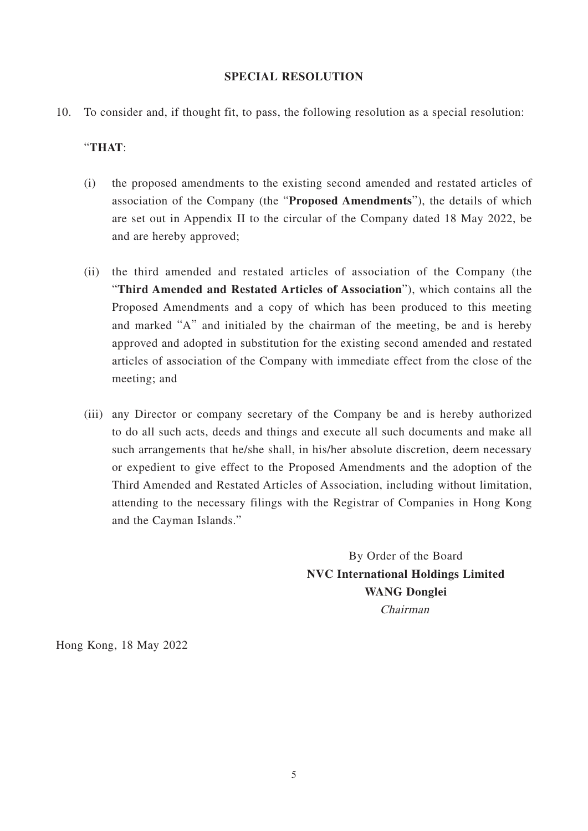#### **SPECIAL RESOLUTION**

10. To consider and, if thought fit, to pass, the following resolution as a special resolution:

#### "**THAT**:

- (i) the proposed amendments to the existing second amended and restated articles of association of the Company (the "**Proposed Amendments**"), the details of which are set out in Appendix II to the circular of the Company dated 18 May 2022, be and are hereby approved;
- (ii) the third amended and restated articles of association of the Company (the "**Third Amended and Restated Articles of Association**"), which contains all the Proposed Amendments and a copy of which has been produced to this meeting and marked "A" and initialed by the chairman of the meeting, be and is hereby approved and adopted in substitution for the existing second amended and restated articles of association of the Company with immediate effect from the close of the meeting; and
- (iii) any Director or company secretary of the Company be and is hereby authorized to do all such acts, deeds and things and execute all such documents and make all such arrangements that he/she shall, in his/her absolute discretion, deem necessary or expedient to give effect to the Proposed Amendments and the adoption of the Third Amended and Restated Articles of Association, including without limitation, attending to the necessary filings with the Registrar of Companies in Hong Kong and the Cayman Islands."

By Order of the Board **NVC International Holdings Limited WANG Donglei** Chairman

Hong Kong, 18 May 2022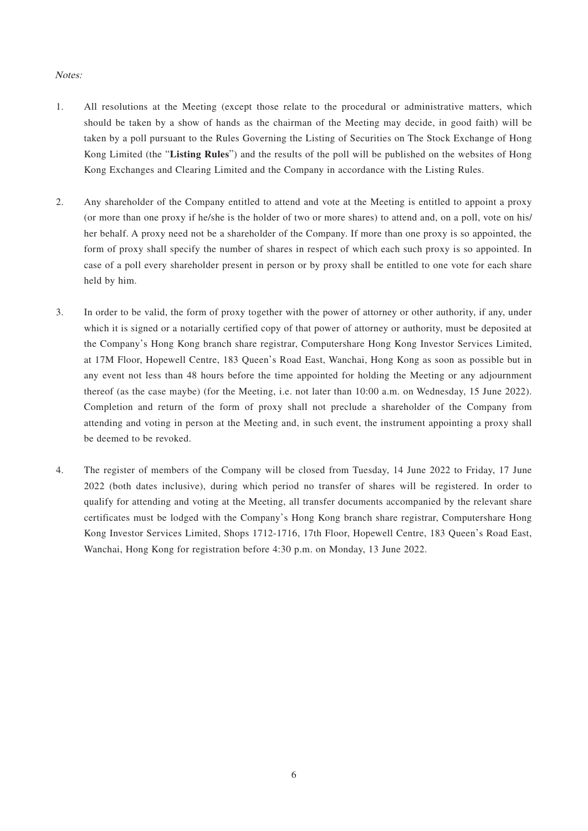#### Notes:

- 1. All resolutions at the Meeting (except those relate to the procedural or administrative matters, which should be taken by a show of hands as the chairman of the Meeting may decide, in good faith) will be taken by a poll pursuant to the Rules Governing the Listing of Securities on The Stock Exchange of Hong Kong Limited (the "**Listing Rules**") and the results of the poll will be published on the websites of Hong Kong Exchanges and Clearing Limited and the Company in accordance with the Listing Rules.
- 2. Any shareholder of the Company entitled to attend and vote at the Meeting is entitled to appoint a proxy (or more than one proxy if he/she is the holder of two or more shares) to attend and, on a poll, vote on his/ her behalf. A proxy need not be a shareholder of the Company. If more than one proxy is so appointed, the form of proxy shall specify the number of shares in respect of which each such proxy is so appointed. In case of a poll every shareholder present in person or by proxy shall be entitled to one vote for each share held by him.
- 3. In order to be valid, the form of proxy together with the power of attorney or other authority, if any, under which it is signed or a notarially certified copy of that power of attorney or authority, must be deposited at the Company's Hong Kong branch share registrar, Computershare Hong Kong Investor Services Limited, at 17M Floor, Hopewell Centre, 183 Queen's Road East, Wanchai, Hong Kong as soon as possible but in any event not less than 48 hours before the time appointed for holding the Meeting or any adjournment thereof (as the case maybe) (for the Meeting, i.e. not later than 10:00 a.m. on Wednesday, 15 June 2022). Completion and return of the form of proxy shall not preclude a shareholder of the Company from attending and voting in person at the Meeting and, in such event, the instrument appointing a proxy shall be deemed to be revoked.
- 4. The register of members of the Company will be closed from Tuesday, 14 June 2022 to Friday, 17 June 2022 (both dates inclusive), during which period no transfer of shares will be registered. In order to qualify for attending and voting at the Meeting, all transfer documents accompanied by the relevant share certificates must be lodged with the Company's Hong Kong branch share registrar, Computershare Hong Kong Investor Services Limited, Shops 1712-1716, 17th Floor, Hopewell Centre, 183 Queen's Road East, Wanchai, Hong Kong for registration before 4:30 p.m. on Monday, 13 June 2022.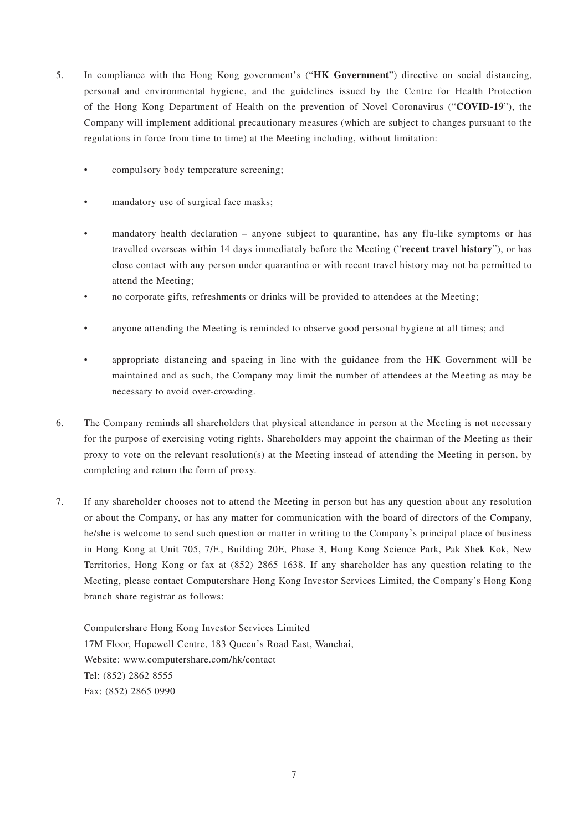- 5. In compliance with the Hong Kong government's ("**HK Government**") directive on social distancing, personal and environmental hygiene, and the guidelines issued by the Centre for Health Protection of the Hong Kong Department of Health on the prevention of Novel Coronavirus ("**COVID-19**"), the Company will implement additional precautionary measures (which are subject to changes pursuant to the regulations in force from time to time) at the Meeting including, without limitation:
	- compulsory body temperature screening;
	- mandatory use of surgical face masks;
	- mandatory health declaration anyone subject to quarantine, has any flu-like symptoms or has travelled overseas within 14 days immediately before the Meeting ("**recent travel history**"), or has close contact with any person under quarantine or with recent travel history may not be permitted to attend the Meeting;
	- no corporate gifts, refreshments or drinks will be provided to attendees at the Meeting;
	- anyone attending the Meeting is reminded to observe good personal hygiene at all times; and
	- appropriate distancing and spacing in line with the guidance from the HK Government will be maintained and as such, the Company may limit the number of attendees at the Meeting as may be necessary to avoid over-crowding.
- 6. The Company reminds all shareholders that physical attendance in person at the Meeting is not necessary for the purpose of exercising voting rights. Shareholders may appoint the chairman of the Meeting as their proxy to vote on the relevant resolution(s) at the Meeting instead of attending the Meeting in person, by completing and return the form of proxy.
- 7. If any shareholder chooses not to attend the Meeting in person but has any question about any resolution or about the Company, or has any matter for communication with the board of directors of the Company, he/she is welcome to send such question or matter in writing to the Company's principal place of business in Hong Kong at Unit 705, 7/F., Building 20E, Phase 3, Hong Kong Science Park, Pak Shek Kok, New Territories, Hong Kong or fax at (852) 2865 1638. If any shareholder has any question relating to the Meeting, please contact Computershare Hong Kong Investor Services Limited, the Company's Hong Kong branch share registrar as follows:

Computershare Hong Kong Investor Services Limited 17M Floor, Hopewell Centre, 183 Queen's Road East, Wanchai, Website: www.computershare.com/hk/contact Tel: (852) 2862 8555 Fax: (852) 2865 0990